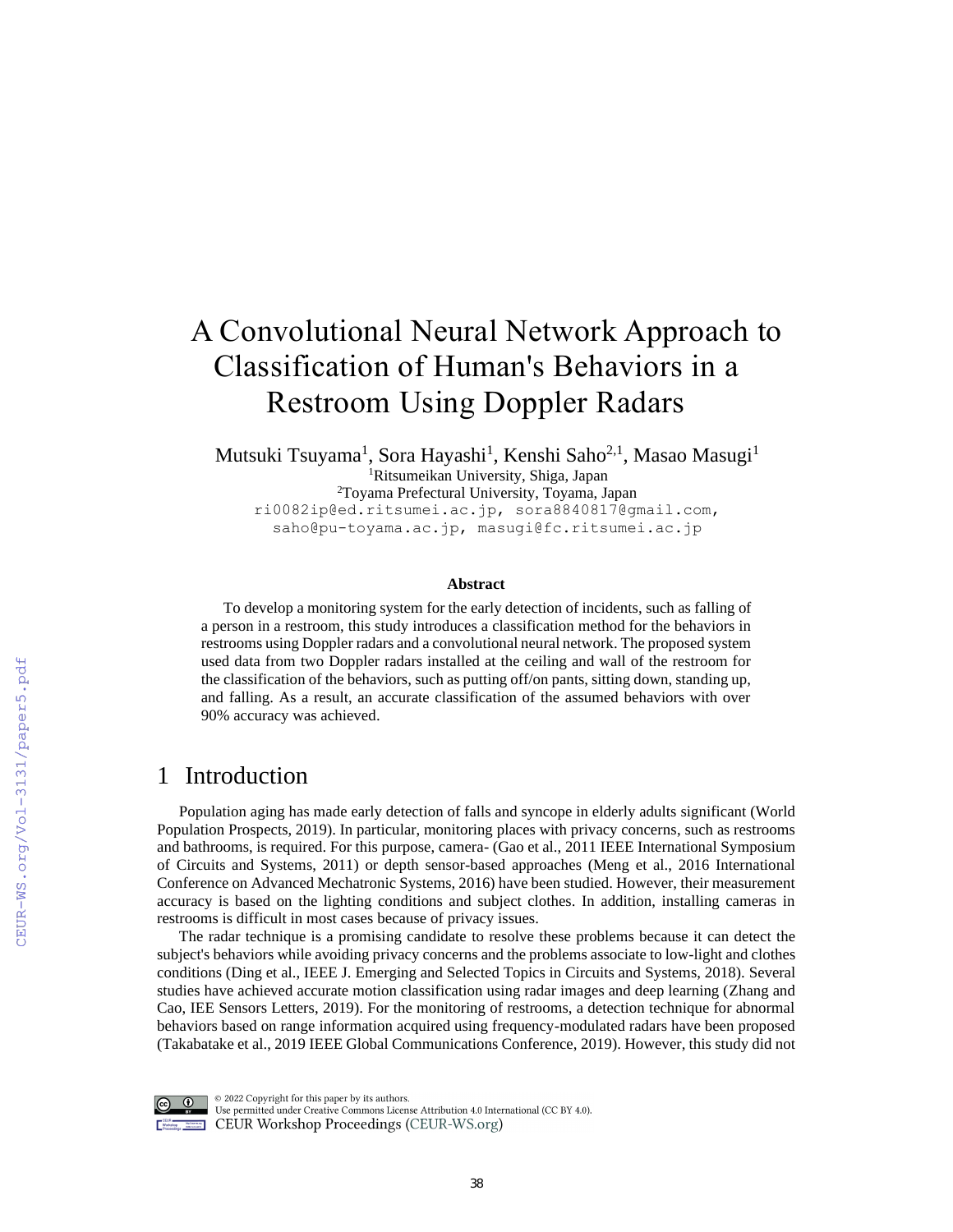# A Convolutional Neural Network Approach to Classification of Human's Behaviors in a Restroom Using Doppler Radars

Mutsuki Tsuyama<sup>1</sup>, Sora Hayashi<sup>1</sup>, Kenshi Saho<sup>2,1</sup>, Masao Masugi<sup>1</sup> <sup>1</sup>Ritsumeikan University, Shiga, Japan <sup>2</sup>Toyama Prefectural University, Toyama, Japan ri0082ip@ed.ritsumei.ac.jp, sora8840817@gmail.com, saho@pu-toyama.ac.jp, masugi@fc.ritsumei.ac.jp

#### **Abstract**

To develop a monitoring system for the early detection of incidents, such as falling of a person in a restroom, this study introduces a classification method for the behaviors in restrooms using Doppler radars and a convolutional neural network. The proposed system used data from two Doppler radars installed at the ceiling and wall of the restroom for the classification of the behaviors, such as putting off/on pants, sitting down, standing up, and falling. As a result, an accurate classification of the assumed behaviors with over 90% accuracy was achieved.

#### 1 Introduction

Population aging has made early detection of falls and syncope in elderly adults significant (World Population Prospects, 2019). In particular, monitoring places with privacy concerns, such as restrooms and bathrooms, is required. For this purpose, camera- (Gao et al., 2011 IEEE International Symposium of Circuits and Systems, 2011) or depth sensor-based approaches (Meng et al., 2016 International Conference on Advanced Mechatronic Systems, 2016) have been studied. However, their measurement accuracy is based on the lighting conditions and subject clothes. In addition, installing cameras in restrooms is difficult in most cases because of privacy issues.

The radar technique is a promising candidate to resolve these problems because it can detect the subject's behaviors while avoiding privacy concerns and the problems associate to low-light and clothes conditions (Ding et al., IEEE J. Emerging and Selected Topics in Circuits and Systems, 2018). Several studies have achieved accurate motion classification using radar images and deep learning (Zhang and Cao, IEE Sensors Letters, 2019). For the monitoring of restrooms, a detection technique for abnormal behaviors based on range information acquired using frequency-modulated radars have been proposed (Takabatake et al., 2019 IEEE Global Communications Conference, 2019). However, this study did not



 $\circledcirc$  2022 Copyright for this paper by its authors. Use permitted under Creative Commons License Attribution 4.0 International (CC BY 4.0). CEUR Workshop Proceedings (CEUR-WS.org)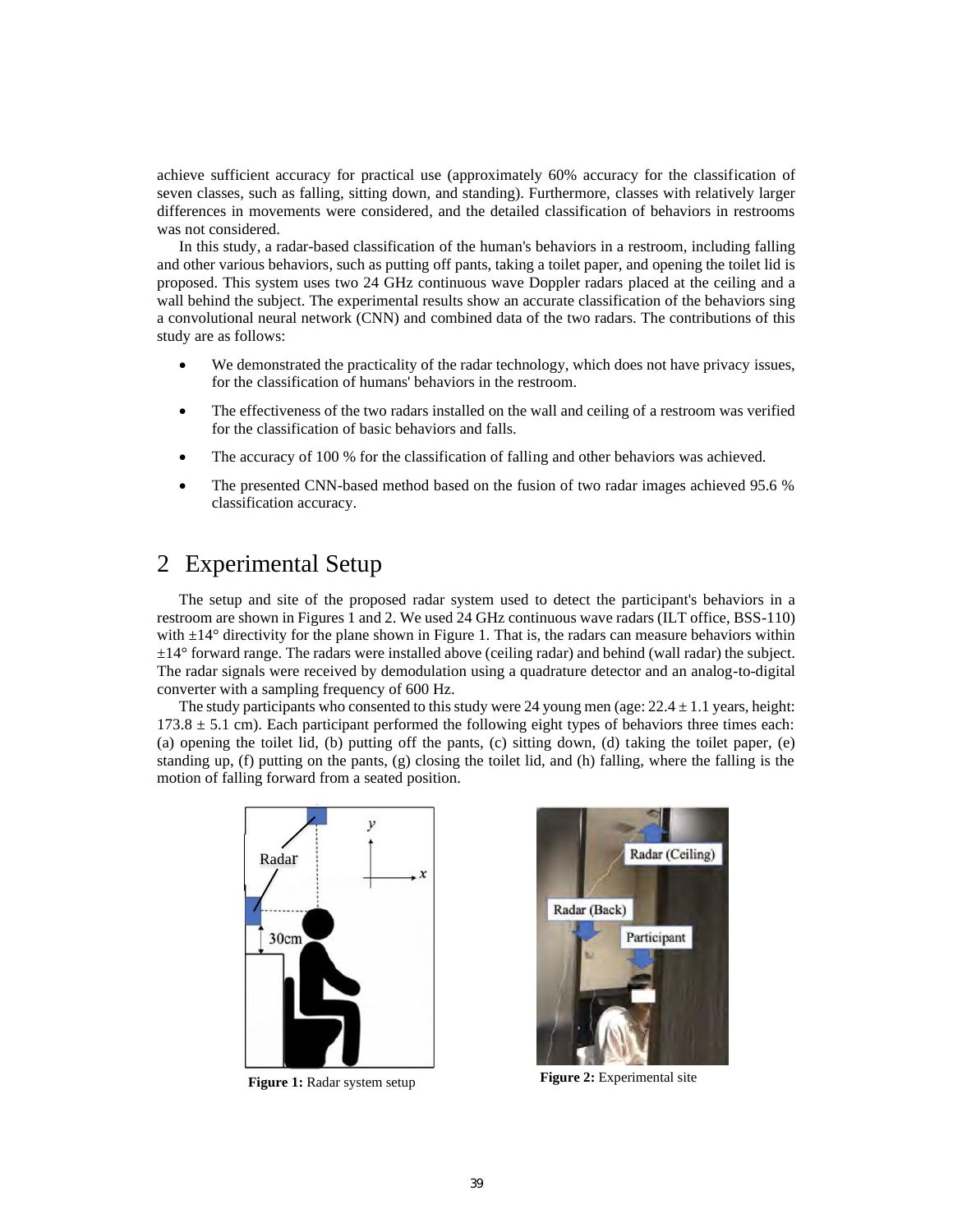achieve sufficient accuracy for practical use (approximately 60% accuracy for the classification of seven classes, such as falling, sitting down, and standing). Furthermore, classes with relatively larger differences in movements were considered, and the detailed classification of behaviors in restrooms was not considered.

In this study, a radar-based classification of the human's behaviors in a restroom, including falling and other various behaviors, such as putting off pants, taking a toilet paper, and opening the toilet lid is proposed. This system uses two 24 GHz continuous wave Doppler radars placed at the ceiling and a wall behind the subject. The experimental results show an accurate classification of the behaviors sing a convolutional neural network (CNN) and combined data of the two radars. The contributions of this study are as follows:

- We demonstrated the practicality of the radar technology, which does not have privacy issues, for the classification of humans' behaviors in the restroom.
- The effectiveness of the two radars installed on the wall and ceiling of a restroom was verified for the classification of basic behaviors and falls.
- The accuracy of 100 % for the classification of falling and other behaviors was achieved.
- The presented CNN-based method based on the fusion of two radar images achieved 95.6 % classification accuracy.

# 2 Experimental Setup

The setup and site of the proposed radar system used to detect the participant's behaviors in a restroom are shown in Figures 1 and 2. We used 24 GHz continuous wave radars (ILT office, BSS-110) with  $\pm 14^{\circ}$  directivity for the plane shown in Figure 1. That is, the radars can measure behaviors within  $\pm 14^{\circ}$  forward range. The radars were installed above (ceiling radar) and behind (wall radar) the subject. The radar signals were received by demodulation using a quadrature detector and an analog-to-digital converter with a sampling frequency of 600 Hz.

The study participants who consented to this study were 24 young men (age:  $22.4 \pm 1.1$  years, height:  $173.8 \pm 5.1$  cm). Each participant performed the following eight types of behaviors three times each: (a) opening the toilet lid, (b) putting off the pants, (c) sitting down, (d) taking the toilet paper, (e) standing up, (f) putting on the pants, (g) closing the toilet lid, and (h) falling, where the falling is the motion of falling forward from a seated position.



**Figure 1:** Radar system setup **Figure 2:** Experimental site

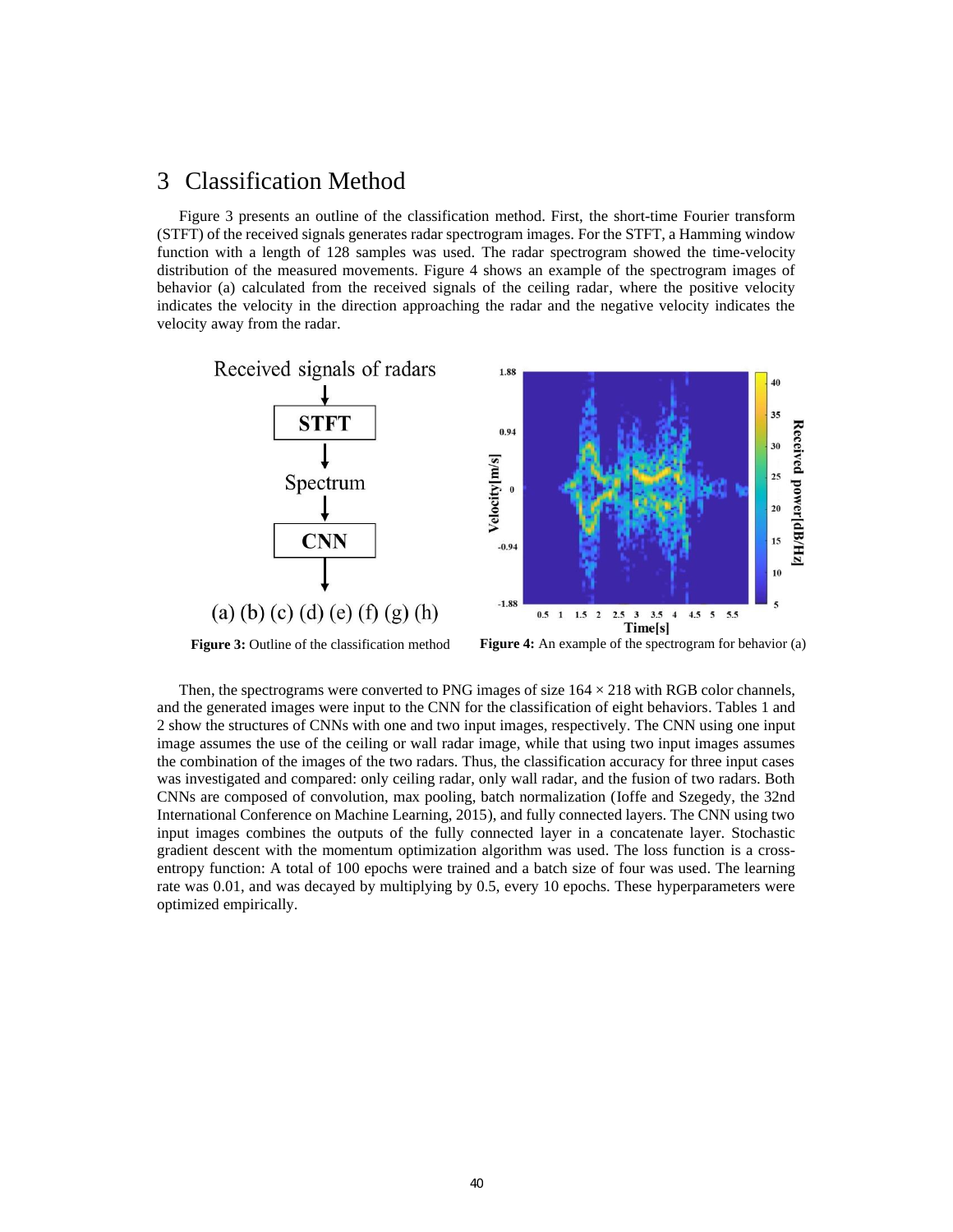### 3 Classification Method

Figure 3 presents an outline of the classification method. First, the short-time Fourier transform (STFT) of the received signals generates radar spectrogram images. For the STFT, a Hamming window function with a length of 128 samples was used. The radar spectrogram showed the time-velocity distribution of the measured movements. Figure 4 shows an example of the spectrogram images of behavior (a) calculated from the received signals of the ceiling radar, where the positive velocity indicates the velocity in the direction approaching the radar and the negative velocity indicates the velocity away from the radar.



**Figure 3:** Outline of the classification method **Figure 4:** An example of the spectrogram for behavior (a)

Then, the spectrograms were converted to PNG images of size  $164 \times 218$  with RGB color channels, and the generated images were input to the CNN for the classification of eight behaviors. Tables 1 and 2 show the structures of CNNs with one and two input images, respectively. The CNN using one input image assumes the use of the ceiling or wall radar image, while that using two input images assumes the combination of the images of the two radars. Thus, the classification accuracy for three input cases was investigated and compared: only ceiling radar, only wall radar, and the fusion of two radars. Both CNNs are composed of convolution, max pooling, batch normalization (Ioffe and Szegedy, the 32nd International Conference on Machine Learning, 2015), and fully connected layers. The CNN using two input images combines the outputs of the fully connected layer in a concatenate layer. Stochastic gradient descent with the momentum optimization algorithm was used. The loss function is a crossentropy function: A total of 100 epochs were trained and a batch size of four was used. The learning rate was 0.01, and was decayed by multiplying by 0.5, every 10 epochs. These hyperparameters were optimized empirically.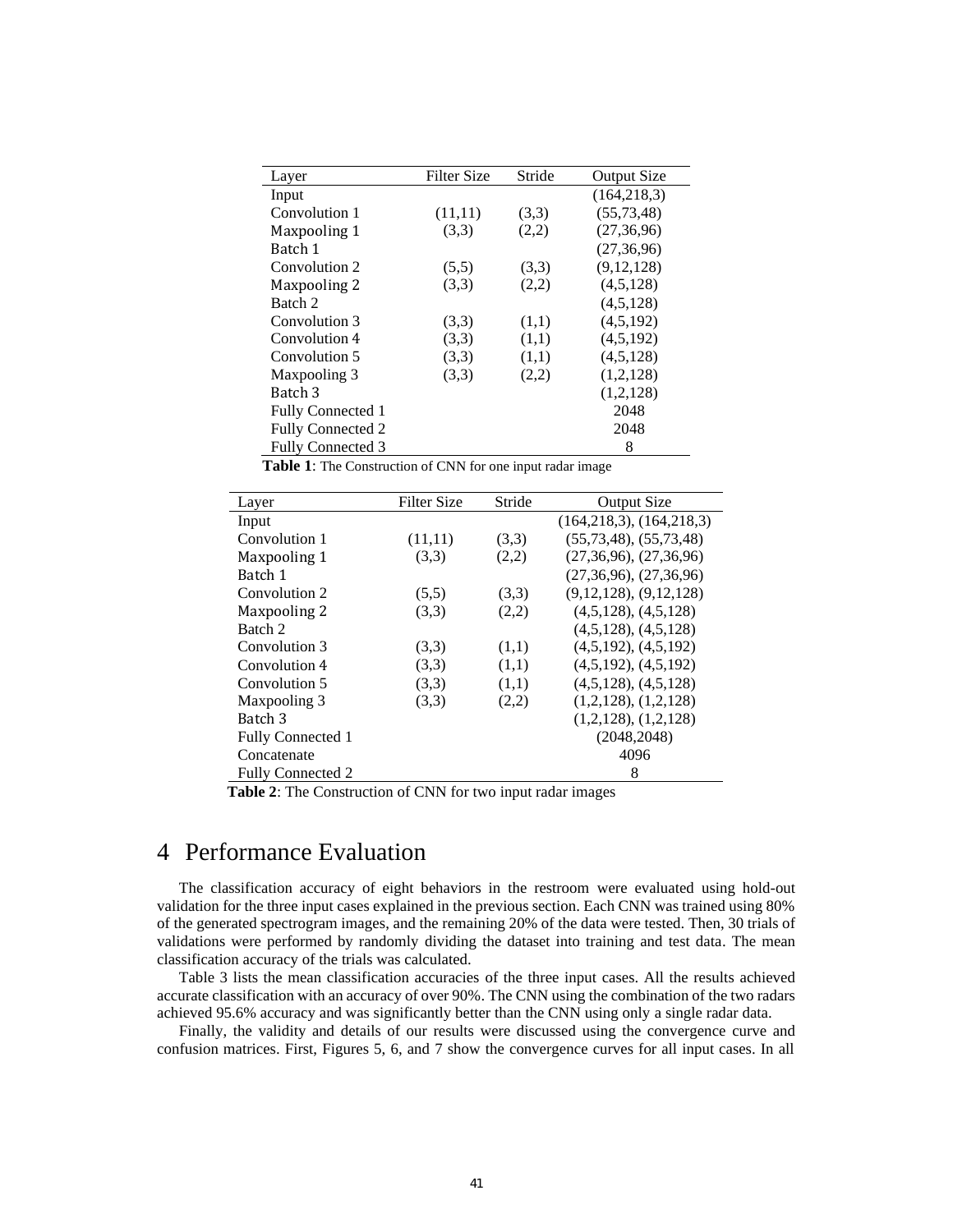| Layer                    | <b>Filter Size</b> | Stride | <b>Output Size</b> |
|--------------------------|--------------------|--------|--------------------|
| Input                    |                    |        | (164, 218, 3)      |
| Convolution 1            | (11,11)            | (3,3)  | (55, 73, 48)       |
| Maxpooling 1             | (3,3)              | (2,2)  | (27, 36, 96)       |
| Batch 1                  |                    |        | (27, 36, 96)       |
| Convolution 2            | (5,5)              | (3,3)  | (9, 12, 128)       |
| Maxpooling 2             | (3,3)              | (2,2)  | (4,5,128)          |
| Batch 2                  |                    |        | (4,5,128)          |
| Convolution 3            | (3,3)              | (1,1)  | (4,5,192)          |
| Convolution 4            | (3,3)              | (1,1)  | (4,5,192)          |
| Convolution 5            | (3,3)              | (1,1)  | (4,5,128)          |
| Maxpooling 3             | (3,3)              | (2,2)  | (1,2,128)          |
| Batch 3                  |                    |        | (1,2,128)          |
| <b>Fully Connected 1</b> |                    |        | 2048               |
| <b>Fully Connected 2</b> |                    |        | 2048               |
| <b>Fully Connected 3</b> |                    |        | 8                  |

 **Table 1**: The Construction of CNN for one input radar image

| Layer                    | Filter Size | Stride | <b>Output Size</b>           |
|--------------------------|-------------|--------|------------------------------|
| Input                    |             |        | (164, 218, 3), (164, 218, 3) |
| Convolution 1            | (11,11)     | (3,3)  | (55, 73, 48), (55, 73, 48)   |
| Maxpooling 1             | (3,3)       | (2,2)  | $(27,36,96)$ , $(27,36,96)$  |
| Batch 1                  |             |        | $(27,36,96)$ , $(27,36,96)$  |
| Convolution 2            | (5,5)       | (3,3)  | $(9,12,128)$ , $(9,12,128)$  |
| Maxpooling 2             | (3,3)       | (2,2)  | $(4,5,128)$ , $(4,5,128)$    |
| Batch 2                  |             |        | $(4,5,128)$ , $(4,5,128)$    |
| Convolution 3            | (3,3)       | (1,1)  | $(4,5,192)$ , $(4,5,192)$    |
| Convolution 4            | (3,3)       | (1,1)  | $(4,5,192)$ , $(4,5,192)$    |
| Convolution 5            | (3,3)       | (1,1)  | $(4,5,128)$ , $(4,5,128)$    |
| Maxpooling 3             | (3,3)       | (2,2)  | $(1,2,128)$ , $(1,2,128)$    |
| Batch 3                  |             |        | $(1,2,128)$ , $(1,2,128)$    |
| <b>Fully Connected 1</b> |             |        | (2048, 2048)                 |
| Concatenate              |             |        | 4096                         |
| <b>Fully Connected 2</b> |             |        | 8                            |

**Table 2**: The Construction of CNN for two input radar images

#### 4 Performance Evaluation

The classification accuracy of eight behaviors in the restroom were evaluated using hold-out validation for the three input cases explained in the previous section. Each CNN was trained using 80% of the generated spectrogram images, and the remaining 20% of the data were tested. Then, 30 trials of validations were performed by randomly dividing the dataset into training and test data. The mean classification accuracy of the trials was calculated.

Table 3 lists the mean classification accuracies of the three input cases. All the results achieved accurate classification with an accuracy of over 90%. The CNN using the combination of the two radars achieved 95.6% accuracy and was significantly better than the CNN using only a single radar data.

Finally, the validity and details of our results were discussed using the convergence curve and confusion matrices. First, Figures 5, 6, and 7 show the convergence curves for all input cases. In all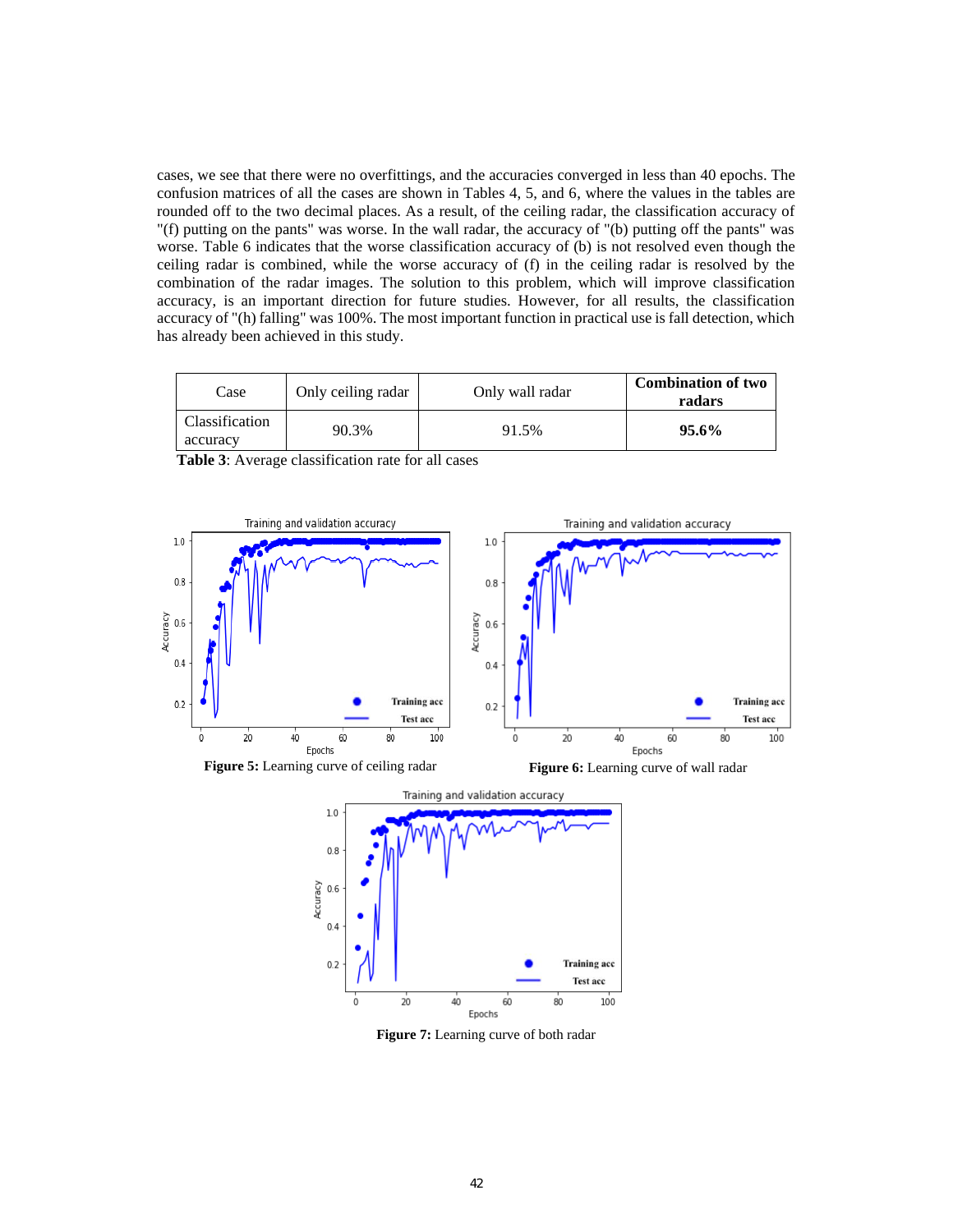cases, we see that there were no overfittings, and the accuracies converged in less than 40 epochs. The confusion matrices of all the cases are shown in Tables 4, 5, and 6, where the values in the tables are rounded off to the two decimal places. As a result, of the ceiling radar, the classification accuracy of "(f) putting on the pants" was worse. In the wall radar, the accuracy of "(b) putting off the pants" was worse. Table 6 indicates that the worse classification accuracy of (b) is not resolved even though the ceiling radar is combined, while the worse accuracy of (f) in the ceiling radar is resolved by the combination of the radar images. The solution to this problem, which will improve classification accuracy, is an important direction for future studies. However, for all results, the classification accuracy of "(h) falling" was 100%. The most important function in practical use is fall detection, which has already been achieved in this study.

| Case                       | Only ceiling radar | Only wall radar | <b>Combination of two</b><br>radars |
|----------------------------|--------------------|-----------------|-------------------------------------|
| Classification<br>accuracy | 90.3%              | 91.5%           | $95.6\%$                            |



**Table 3**: Average classification rate for all cases



**Figure 7:** Learning curve of both radar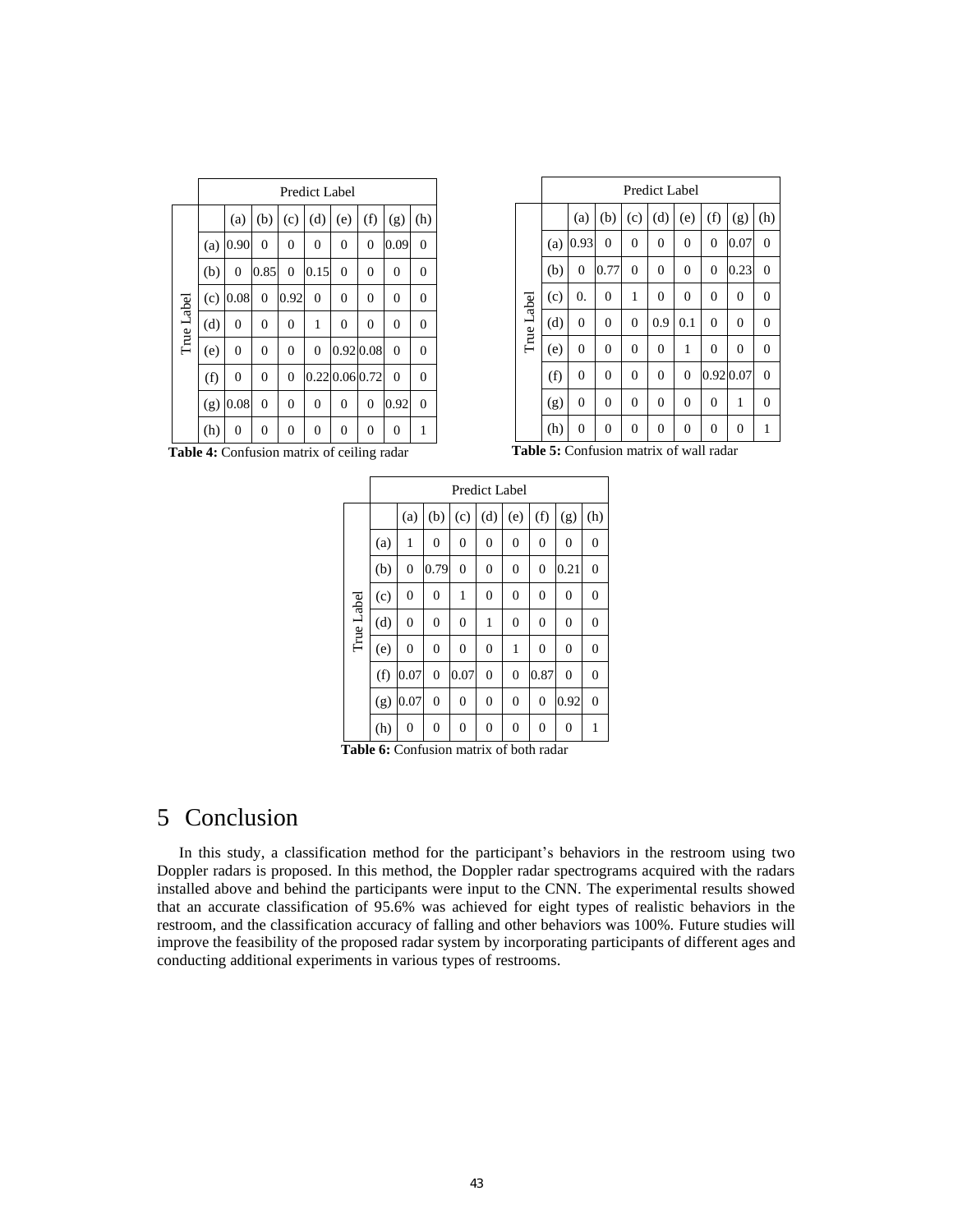|            |     | <b>Predict Label</b> |                |                |                |                |                |                |                |
|------------|-----|----------------------|----------------|----------------|----------------|----------------|----------------|----------------|----------------|
|            |     | (a)                  | (b)            | (c)            | (d)            | (e)            | (f)            | (g)            | (h)            |
|            | (a) | 0.90                 | $\overline{0}$ | 0              | $\overline{0}$ | $\overline{0}$ | $\overline{0}$ | 0.09           | $\overline{0}$ |
|            | (b) | $\overline{0}$       | 0.85           | $\mathbf{0}$   | 0.15           | $\overline{0}$ | $\overline{0}$ | 0              | $\overline{0}$ |
|            | (c) | 0.08                 | $\overline{0}$ | 0.92           | $\mathbf{0}$   | $\overline{0}$ | $\overline{0}$ | $\overline{0}$ | $\overline{0}$ |
| True Label | (d) | $\overline{0}$       | $\overline{0}$ | 0              | 1              | $\overline{0}$ | $\overline{0}$ | 0              | $\overline{0}$ |
|            | (e) | $\overline{0}$       | $\overline{0}$ | 0              | $\mathbf{0}$   | 0.92 0.08      |                | $\mathbf{0}$   | $\overline{0}$ |
|            | (f) | 0                    | $\overline{0}$ | 0              |                | 0.22 0.06 0.72 |                | $\theta$       | $\overline{0}$ |
|            | (g) | 0.08                 | $\overline{0}$ | $\overline{0}$ | $\overline{0}$ | $\overline{0}$ | $\overline{0}$ | 0.92           | $\overline{0}$ |
|            | (h) | 0                    | $\overline{0}$ | 0              | $\theta$       | 0              | 0              | $\overline{0}$ | 1              |

|            | Predict Label |                |                |                  |                  |                |                  |                  |                |
|------------|---------------|----------------|----------------|------------------|------------------|----------------|------------------|------------------|----------------|
|            |               | (a)            | (b)            | (c)              | (d)              | (e)            | (f)              | (g)              | (h)            |
|            | (a)           | 0.93           | $\mathbf{0}$   | $\boldsymbol{0}$ | $\overline{0}$   | 0              | $\mathbf{0}$     | 0.07             | $\overline{0}$ |
|            | (b)           | $\overline{0}$ | 0.77           | $\boldsymbol{0}$ | $\boldsymbol{0}$ | 0              | $\mathbf{0}$     | 0.23             | $\mathbf{0}$   |
|            | (c)           | 0.             | 0              | 1                | $\boldsymbol{0}$ | 0              | $\boldsymbol{0}$ | $\boldsymbol{0}$ | $\mathbf{0}$   |
| True Label | (d)           | $\overline{0}$ | $\overline{0}$ | $\overline{0}$   | 0.9              | 0.1            | $\overline{0}$   | $\overline{0}$   | $\overline{0}$ |
|            | (e)           | $\overline{0}$ | $\overline{0}$ | $\boldsymbol{0}$ | $\boldsymbol{0}$ | 1              | $\mathbf{0}$     | $\overline{0}$   | $\mathbf{0}$   |
|            | (f)           | $\mathbf{0}$   | 0              | $\boldsymbol{0}$ | $\overline{0}$   | $\overline{0}$ |                  | 0.92 0.07        | $\overline{0}$ |
|            | (g)           | $\mathbf{0}$   | 0              | $\boldsymbol{0}$ | $\boldsymbol{0}$ | 0              | $\boldsymbol{0}$ | 1                | $\mathbf{0}$   |
|            | (h)           | $\overline{0}$ | 0              | 0                | 0<br>$\sim$      | 0              | $\boldsymbol{0}$ | $\overline{0}$   | 1              |

**Table 4:** Confusion matrix of ceiling radar

**Table 5:** Confusion matrix of wall radar

|            | Predict Label |                |                |                |                  |                  |                |                  |                |  |
|------------|---------------|----------------|----------------|----------------|------------------|------------------|----------------|------------------|----------------|--|
|            |               | (a)            | (b)            | (c)            | (d)              | (e)              | (f)            | (g)              | (h)            |  |
|            | (a)           | 1              | $\overline{0}$ | $\mathbf{0}$   | $\boldsymbol{0}$ | $\mathbf{0}$     | $\mathbf{0}$   | $\boldsymbol{0}$ | $\overline{0}$ |  |
|            | (b)           | $\overline{0}$ | 0.79           | $\overline{0}$ | $\overline{0}$   | $\overline{0}$   | $\overline{0}$ | 0.21             | $\overline{0}$ |  |
| True Label | (c)           | $\theta$       | $\overline{0}$ | 1              | $\mathbf{0}$     | $\boldsymbol{0}$ | $\mathbf{0}$   | $\boldsymbol{0}$ | $\overline{0}$ |  |
|            | (d)           | $\overline{0}$ | $\overline{0}$ | $\overline{0}$ | 1                | $\overline{0}$   | $\overline{0}$ | $\overline{0}$   | 0              |  |
|            | (e)           | $\overline{0}$ | 0              | $\overline{0}$ | $\overline{0}$   | 1                | $\mathbf{0}$   | $\boldsymbol{0}$ | 0              |  |
|            | (f)           | 0.07           | $\overline{0}$ | 0.07           | $\overline{0}$   | $\overline{0}$   | 0.87           | $\overline{0}$   | $\overline{0}$ |  |
|            | (g)           | 0.07           | $\overline{0}$ | $\overline{0}$ | $\overline{0}$   | $\overline{0}$   | $\mathbf{0}$   | 0.92             | $\overline{0}$ |  |
|            | (h)           | $\overline{0}$ | 0              | $\mathbf{0}$   | $\boldsymbol{0}$ | $\boldsymbol{0}$ | $\mathbf{0}$   | $\boldsymbol{0}$ | 1              |  |

**Table 6:** Confusion matrix of both radar

# 5 Conclusion

In this study, a classification method for the participant's behaviors in the restroom using two Doppler radars is proposed. In this method, the Doppler radar spectrograms acquired with the radars installed above and behind the participants were input to the CNN. The experimental results showed that an accurate classification of 95.6% was achieved for eight types of realistic behaviors in the restroom, and the classification accuracy of falling and other behaviors was 100%. Future studies will improve the feasibility of the proposed radar system by incorporating participants of different ages and conducting additional experiments in various types of restrooms.